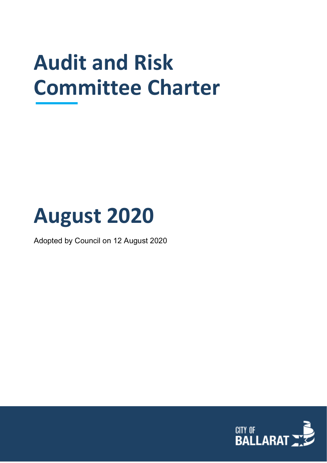# **Audit and Risk Committee Charter**

# **August 2020**

Adopted by Council on 12 August 2020

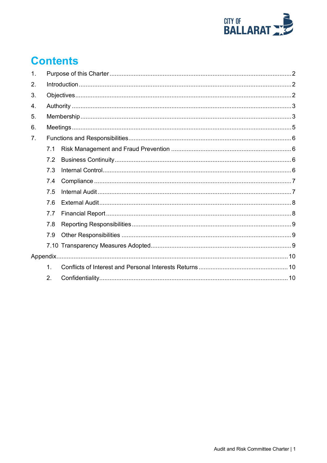

## **Contents**

| 1. |               |  |  |
|----|---------------|--|--|
| 2. |               |  |  |
| 3. |               |  |  |
| 4. |               |  |  |
| 5. |               |  |  |
| 6. |               |  |  |
| 7. |               |  |  |
|    | 7.1           |  |  |
|    | 7.2           |  |  |
|    | 7.3           |  |  |
|    | 7.4           |  |  |
|    | 7.5           |  |  |
|    | 7.6           |  |  |
|    | 7.7           |  |  |
|    | 7.8           |  |  |
|    | 7.9           |  |  |
|    |               |  |  |
|    |               |  |  |
|    | $\mathbf 1$ . |  |  |
|    | 2.            |  |  |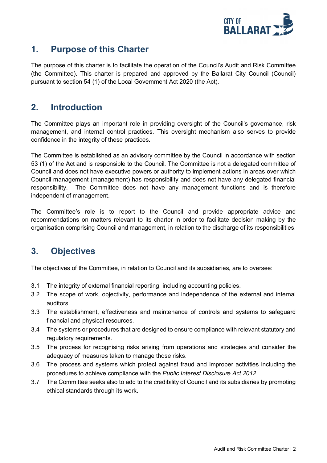

## <span id="page-2-0"></span>**1. Purpose of this Charter**

The purpose of this charter is to facilitate the operation of the Council's Audit and Risk Committee (the Committee). This charter is prepared and approved by the Ballarat City Council (Council) pursuant to section 54 (1) of the Local Government Act 2020 (the Act).

## <span id="page-2-1"></span>**2. Introduction**

The Committee plays an important role in providing oversight of the Council's governance, risk management, and internal control practices. This oversight mechanism also serves to provide confidence in the integrity of these practices.

The Committee is established as an advisory committee by the Council in accordance with section 53 (1) of the Act and is responsible to the Council. The Committee is not a delegated committee of Council and does not have executive powers or authority to implement actions in areas over which Council management (management) has responsibility and does not have any delegated financial responsibility. The Committee does not have any management functions and is therefore independent of management.

The Committee's role is to report to the Council and provide appropriate advice and recommendations on matters relevant to its charter in order to facilitate decision making by the organisation comprising Council and management, in relation to the discharge of its responsibilities.

## <span id="page-2-2"></span>**3. Objectives**

The objectives of the Committee, in relation to Council and its subsidiaries, are to oversee:

- 3.1 The integrity of external financial reporting, including accounting policies.
- 3.2 The scope of work, objectivity, performance and independence of the external and internal auditors.
- 3.3 The establishment, effectiveness and maintenance of controls and systems to safeguard financial and physical resources.
- 3.4 The systems or procedures that are designed to ensure compliance with relevant statutory and regulatory requirements.
- 3.5 The process for recognising risks arising from operations and strategies and consider the adequacy of measures taken to manage those risks.
- 3.6 The process and systems which protect against fraud and improper activities including the procedures to achieve compliance with the *Public Interest Disclosure Act 2012*.
- 3.7 The Committee seeks also to add to the credibility of Council and its subsidiaries by promoting ethical standards through its work.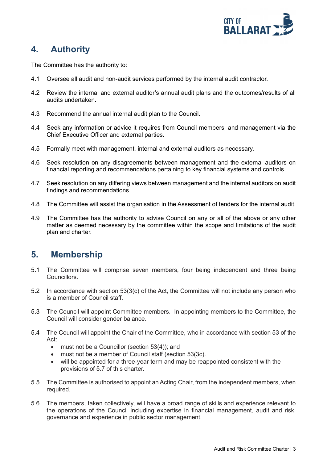

## <span id="page-3-0"></span>**4. Authority**

The Committee has the authority to:

- 4.1 Oversee all audit and non-audit services performed by the internal audit contractor.
- 4.2 Review the internal and external auditor's annual audit plans and the outcomes/results of all audits undertaken.
- 4.3 Recommend the annual internal audit plan to the Council.
- 4.4 Seek any information or advice it requires from Council members, and management via the Chief Executive Officer and external parties.
- 4.5 Formally meet with management, internal and external auditors as necessary.
- 4.6 Seek resolution on any disagreements between management and the external auditors on financial reporting and recommendations pertaining to key financial systems and controls.
- 4.7 Seek resolution on any differing views between management and the internal auditors on audit findings and recommendations.
- 4.8 The Committee will assist the organisation in the Assessment of tenders for the internal audit.
- 4.9 The Committee has the authority to advise Council on any or all of the above or any other matter as deemed necessary by the committee within the scope and limitations of the audit plan and charter.

### <span id="page-3-1"></span>**5. Membership**

- 5.1 The Committee will comprise seven members, four being independent and three being Councillors.
- 5.2 In accordance with section 53(3(c) of the Act, the Committee will not include any person who is a member of Council staff.
- 5.3 The Council will appoint Committee members. In appointing members to the Committee, the Council will consider gender balance.
- 5.4 The Council will appoint the Chair of the Committee, who in accordance with section 53 of the Act:
	- must not be a Councillor (section 53(4)); and
	- must not be a member of Council staff (section 53(3c).
	- will be appointed for a three-year term and may be reappointed consistent with the provisions of 5.7 of this charter.
- 5.5 The Committee is authorised to appoint an Acting Chair, from the independent members, when required.
- 5.6 The members, taken collectively, will have a broad range of skills and experience relevant to the operations of the Council including expertise in financial management, audit and risk, governance and experience in public sector management.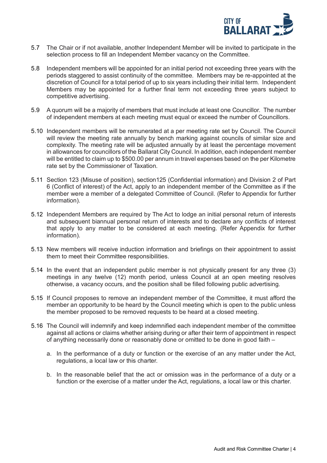

- 5.7 The Chair or if not available, another Independent Member will be invited to participate in the selection process to fill an Independent Member vacancy on the Committee.
- 5.8 Independent members will be appointed for an initial period not exceeding three years with the periods staggered to assist continuity of the committee. Members may be re-appointed at the discretion of Council for a total period of up to six years including their initial term. Independent Members may be appointed for a further final term not exceeding three years subject to competitive advertising.
- 5.9 A quorum will be a majority of members that must include at least one Councillor. The number of independent members at each meeting must equal or exceed the number of Councillors.
- 5.10 Independent members will be remunerated at a per meeting rate set by Council. The Council will review the meeting rate annually by bench marking against councils of similar size and complexity. The meeting rate will be adjusted annually by at least the percentage movement in allowances for councillors of the Ballarat City Council. In addition, each independent member will be entitled to claim up to \$500.00 per annum in travel expenses based on the per Kilometre rate set by the Commissioner of Taxation.
- 5.11 Section 123 (Misuse of position), section125 (Confidential information) and Division 2 of Part 6 (Conflict of interest) of the Act, apply to an independent member of the Committee as if the member were a member of a delegated Committee of Council. (Refer to Appendix for further information).
- 5.12 Independent Members are required by The Act to lodge an initial personal return of interests and subsequent biannual personal return of interests and to declare any conflicts of interest that apply to any matter to be considered at each meeting. (Refer Appendix for further information).
- 5.13 New members will receive induction information and briefings on their appointment to assist them to meet their Committee responsibilities.
- 5.14 In the event that an independent public member is not physically present for any three (3) meetings in any twelve (12) month period, unless Council at an open meeting resolves otherwise, a vacancy occurs, and the position shall be filled following public advertising.
- 5.15 If Council proposes to remove an independent member of the Committee, it must afford the member an opportunity to be heard by the Council meeting which is open to the public unless the member proposed to be removed requests to be heard at a closed meeting.
- 5.16 The Council will indemnify and keep indemnified each independent member of the committee against all actions or claims whether arising during or after their term of appointment in respect of anything necessarily done or reasonably done or omitted to be done in good faith –
	- a. In the performance of a duty or function or the exercise of an any matter under the Act, regulations, a local law or this charter.
	- b. In the reasonable belief that the act or omission was in the performance of a duty or a function or the exercise of a matter under the Act, regulations, a local law or this charter.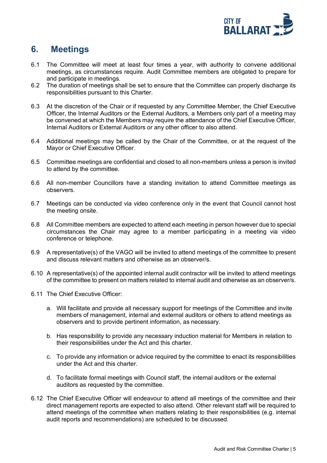

## <span id="page-5-0"></span>**6. Meetings**

- 6.1 The Committee will meet at least four times a year, with authority to convene additional meetings, as circumstances require. Audit Committee members are obligated to prepare for and participate in meetings.
- 6.2 The duration of meetings shall be set to ensure that the Committee can properly discharge its responsibilities pursuant to this Charter.
- 6.3 At the discretion of the Chair or if requested by any Committee Member, the Chief Executive Officer, the Internal Auditors or the External Auditors, a Members only part of a meeting may be convened at which the Members may require the attendance of the Chief Executive Officer, Internal Auditors or External Auditors or any other officer to also attend.
- 6.4 Additional meetings may be called by the Chair of the Committee, or at the request of the Mayor or Chief Executive Officer.
- 6.5 Committee meetings are confidential and closed to all non-members unless a person is invited to attend by the committee.
- 6.6 All non-member Councillors have a standing invitation to attend Committee meetings as observers.
- 6.7 Meetings can be conducted via video conference only in the event that Council cannot host the meeting onsite.
- 6.8 All Committee members are expected to attend each meeting in person however due to special circumstances the Chair may agree to a member participating in a meeting via video conference or telephone.
- 6.9 A representative(s) of the VAGO will be invited to attend meetings of the committee to present and discuss relevant matters and otherwise as an observer/s.
- 6.10 A representative(s) of the appointed internal audit contractor will be invited to attend meetings of the committee to present on matters related to internal audit and otherwise as an observer/s.
- 6.11 The Chief Executive Officer:
	- a. Will facilitate and provide all necessary support for meetings of the Committee and invite members of management, internal and external auditors or others to attend meetings as observers and to provide pertinent information, as necessary.
	- b. Has responsibility to provide any necessary induction material for Members in relation to their responsibilities under the Act and this charter.
	- c. To provide any information or advice required by the committee to enact its responsibilities under the Act and this charter.
	- d. To facilitate formal meetings with Council staff, the internal auditors or the external auditors as requested by the committee.
- 6.12 The Chief Executive Officer will endeavour to attend all meetings of the committee and their direct management reports are expected to also attend. Other relevant staff will be required to attend meetings of the committee when matters relating to their responsibilities (e.g. internal audit reports and recommendations) are scheduled to be discussed.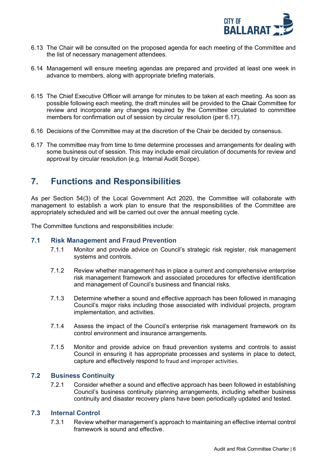

- 6.13 The Chair will be consulted on the proposed agenda for each meeting of the Committee and the list of necessary management attendees.
- 6.14 Management will ensure meeting agendas are prepared and provided at least one week in advance to members, along with appropriate briefing materials.
- 6.15 The Chief Executive Officer will arrange for minutes to be taken at each meeting. As soon as possible following each meeting, the draft minutes will be provided to the Chair Committee for review and incorporate any changes required by the Committee circulated to committee members for confirmation out of session by circular resolution (per 6.17).
- 6.16 Decisions of the Committee may at the discretion of the Chair be decided by consensus.
- 6.17 The committee may from time to time determine processes and arrangements for dealing with some business out of session. This may include email circulation of documents for review and approval by circular resolution (e.g. Internal Audit Scope).

### <span id="page-6-0"></span>**7. Functions and Responsibilities**

As per Section 54(3) of the Local Government Act 2020, the Committee will collaborate with management to establish a work plan to ensure that the responsibilities of the Committee are appropriately scheduled and will be carried out over the annual meeting cycle.

The Committee functions and responsibilities include:

#### <span id="page-6-1"></span>**7.1 Risk Management and Fraud Prevention**

- 7.1.1 Monitor and provide advice on Council's strategic risk register, risk management systems and controls.
- 7.1.2 Review whether management has in place a current and comprehensive enterprise risk management framework and associated procedures for effective identification and management of Council's business and financial risks.
- 7.1.3 Determine whether a sound and effective approach has been followed in managing Council's major risks including those associated with individual projects, program implementation, and activities.
- 7.1.4 Assess the impact of the Council's enterprise risk management framework on its control environment and insurance arrangements.
- 7.1.5 Monitor and provide advice on fraud prevention systems and controls to assist Council in ensuring it has appropriate processes and systems in place to detect, capture and effectively respond to fraud and improper activities.

#### <span id="page-6-2"></span>**7.2 Business Continuity**

7.2.1 Consider whether a sound and effective approach has been followed in establishing Council's business continuity planning arrangements, including whether business continuity and disaster recovery plans have been periodically updated and tested.

#### <span id="page-6-3"></span>**7.3 Internal Control**

7.3.1 Review whether management's approach to maintaining an effective internal control framework is sound and effective.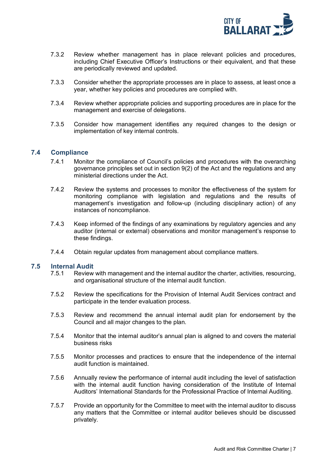

- 7.3.2 Review whether management has in place relevant policies and procedures, including Chief Executive Officer's Instructions or their equivalent, and that these are periodically reviewed and updated.
- 7.3.3 Consider whether the appropriate processes are in place to assess, at least once a year, whether key policies and procedures are complied with.
- 7.3.4 Review whether appropriate policies and supporting procedures are in place for the management and exercise of delegations.
- 7.3.5 Consider how management identifies any required changes to the design or implementation of key internal controls.

#### <span id="page-7-0"></span>**7.4 Compliance**

- 7.4.1 Monitor the compliance of Council's policies and procedures with the overarching governance principles set out in section 9(2) of the Act and the regulations and any ministerial directions under the Act.
- 7.4.2 Review the systems and processes to monitor the effectiveness of the system for monitoring compliance with legislation and regulations and the results of management's investigation and follow-up (including disciplinary action) of any instances of noncompliance.
- 7.4.3 Keep informed of the findings of any examinations by regulatory agencies and any auditor (internal or external) observations and monitor management's response to these findings.
- 7.4.4 Obtain regular updates from management about compliance matters.

## <span id="page-7-1"></span>**7.5 Internal Audit**

- Review with management and the internal auditor the charter, activities, resourcing, and organisational structure of the internal audit function.
- 7.5.2 Review the specifications for the Provision of Internal Audit Services contract and participate in the tender evaluation process.
- 7.5.3 Review and recommend the annual internal audit plan for endorsement by the Council and all major changes to the plan.
- 7.5.4 Monitor that the internal auditor's annual plan is aligned to and covers the material business risks
- 7.5.5 Monitor processes and practices to ensure that the independence of the internal audit function is maintained.
- 7.5.6 Annually review the performance of internal audit including the level of satisfaction with the internal audit function having consideration of the Institute of Internal Auditors' International Standards for the Professional Practice of Internal Auditing.
- 7.5.7 Provide an opportunity for the Committee to meet with the internal auditor to discuss any matters that the Committee or internal auditor believes should be discussed privately.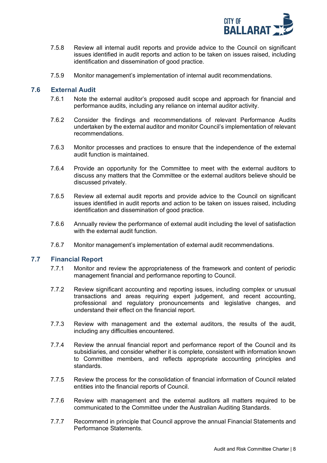

- 7.5.8 Review all internal audit reports and provide advice to the Council on significant issues identified in audit reports and action to be taken on issues raised, including identification and dissemination of good practice.
- 7.5.9 Monitor management's implementation of internal audit recommendations.

#### <span id="page-8-0"></span>**7.6 External Audit**

- 7.6.1 Note the external auditor's proposed audit scope and approach for financial and performance audits, including any reliance on internal auditor activity.
- 7.6.2 Consider the findings and recommendations of relevant Performance Audits undertaken by the external auditor and monitor Council's implementation of relevant recommendations.
- 7.6.3 Monitor processes and practices to ensure that the independence of the external audit function is maintained.
- 7.6.4 Provide an opportunity for the Committee to meet with the external auditors to discuss any matters that the Committee or the external auditors believe should be discussed privately.
- 7.6.5 Review all external audit reports and provide advice to the Council on significant issues identified in audit reports and action to be taken on issues raised, including identification and dissemination of good practice.
- 7.6.6 Annually review the performance of external audit including the level of satisfaction with the external audit function.
- 7.6.7 Monitor management's implementation of external audit recommendations.

#### <span id="page-8-1"></span>**7.7 Financial Report**

- 7.7.1 Monitor and review the appropriateness of the framework and content of periodic management financial and performance reporting to Council.
- 7.7.2 Review significant accounting and reporting issues, including complex or unusual transactions and areas requiring expert judgement, and recent accounting, professional and regulatory pronouncements and legislative changes, and understand their effect on the financial report.
- 7.7.3 Review with management and the external auditors, the results of the audit, including any difficulties encountered.
- 7.7.4 Review the annual financial report and performance report of the Council and its subsidiaries, and consider whether it is complete, consistent with information known to Committee members, and reflects appropriate accounting principles and standards.
- 7.7.5 Review the process for the consolidation of financial information of Council related entities into the financial reports of Council.
- 7.7.6 Review with management and the external auditors all matters required to be communicated to the Committee under the Australian Auditing Standards.
- 7.7.7 Recommend in principle that Council approve the annual Financial Statements and Performance Statements.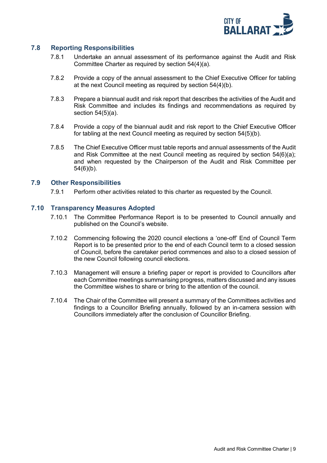

#### <span id="page-9-0"></span>**7.8 Reporting Responsibilities**

- 7.8.1 Undertake an annual assessment of its performance against the Audit and Risk Committee Charter as required by section 54(4)(a).
- 7.8.2 Provide a copy of the annual assessment to the Chief Executive Officer for tabling at the next Council meeting as required by section 54(4)(b).
- 7.8.3 Prepare a biannual audit and risk report that describes the activities of the Audit and Risk Committee and includes its findings and recommendations as required by section 54(5)(a).
- 7.8.4 Provide a copy of the biannual audit and risk report to the Chief Executive Officer for tabling at the next Council meeting as required by section 54(5)(b).
- 7.8.5 The Chief Executive Officer must table reports and annual assessments of the Audit and Risk Committee at the next Council meeting as required by section 54(6)(a); and when requested by the Chairperson of the Audit and Risk Committee per 54(6)(b).

#### <span id="page-9-1"></span>**7.9 Other Responsibilities**

7.9.1 Perform other activities related to this charter as requested by the Council.

#### <span id="page-9-2"></span>**7.10 Transparency Measures Adopted**

- 7.10.1 The Committee Performance Report is to be presented to Council annually and published on the Council's website.
- 7.10.2 Commencing following the 2020 council elections a 'one-off' End of Council Term Report is to be presented prior to the end of each Council term to a closed session of Council, before the caretaker period commences and also to a closed session of the new Council following council elections.
- 7.10.3 Management will ensure a briefing paper or report is provided to Councillors after each Committee meetings summarising progress, matters discussed and any issues the Committee wishes to share or bring to the attention of the council.
- 7.10.4 The Chair of the Committee will present a summary of the Committees activities and findings to a Councillor Briefing annually, followed by an in-camera session with Councillors immediately after the conclusion of Councillor Briefing.